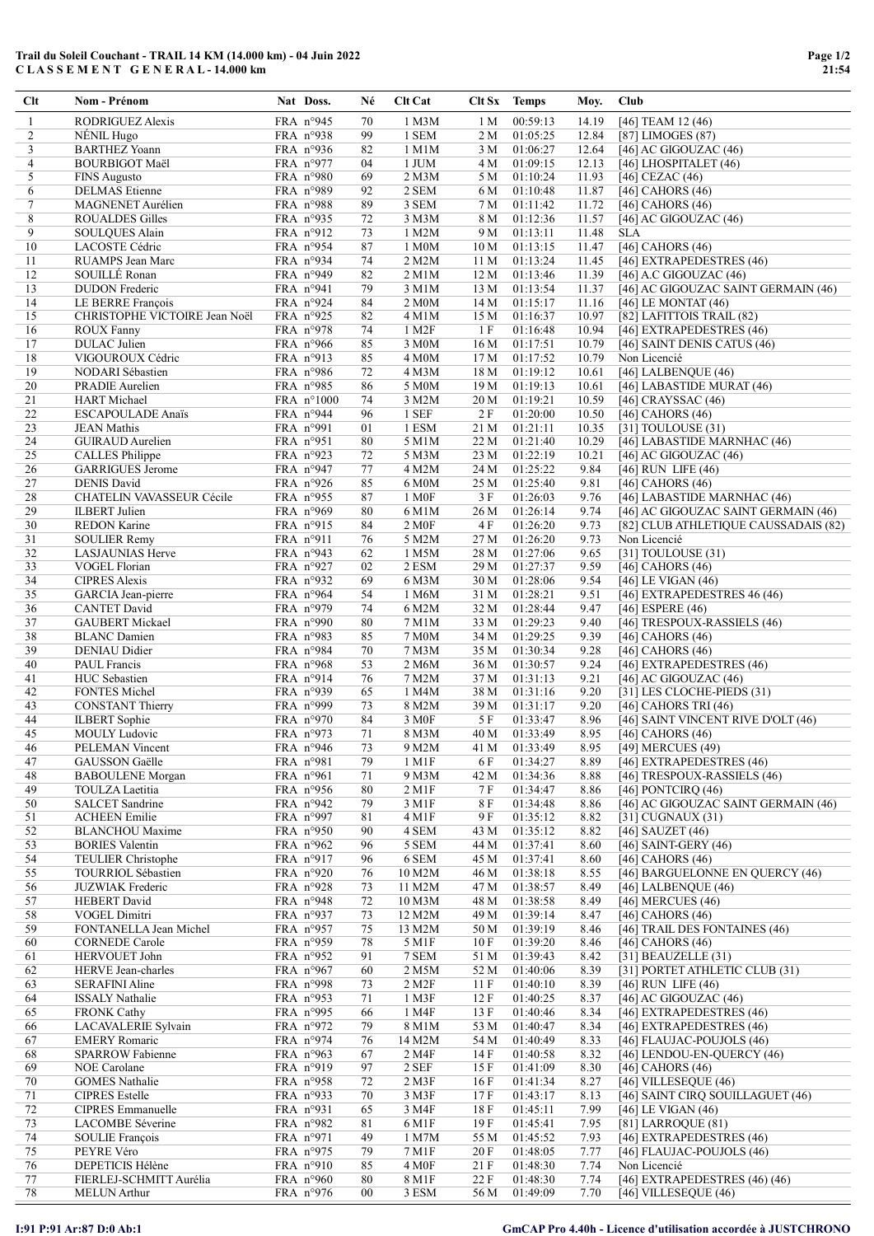## Trail du Soleil Couchant - TRAIL 14 KM (14.000 km) - 04 Juin 2022 C L A S S E M E N T G E N E R A L - 14.000 km

| Clt            | Nom - Prénom                                      | Nat Doss.                         | Né       | Clt Cat            | Clt Sx Temps           |                      | Moy.           | <b>Club</b>                                                 |
|----------------|---------------------------------------------------|-----------------------------------|----------|--------------------|------------------------|----------------------|----------------|-------------------------------------------------------------|
| 1              | RODRIGUEZ Alexis                                  | FRA n°945                         | 70       | 1 M3M              | 1 M                    | 00:59:13             | 14.19          | [46] TEAM 12 (46)                                           |
| 2              | NÉNIL Hugo                                        | FRA n°938                         | 99       | 1 SEM              | 2 M                    | 01:05:25             | 12.84          | [87] LIMOGES (87)                                           |
| 3              | <b>BARTHEZ Yoann</b>                              | FRA n°936                         | 82       | 1 M1M              | 3 M                    | 01:06:27             | 12.64          | $[46]$ AC GIGOUZAC $(46)$                                   |
| $\overline{4}$ | <b>BOURBIGOT Maël</b>                             | FRA $n°977$                       | 04       | 1 JUM              | 4 M                    | 01:09:15             | 12.13          | $[46]$ LHOSPITALET $(46)$                                   |
| 5              | <b>FINS Augusto</b>                               | FRA $n°980$                       | 69       | 2 M3M              | 5 M                    | 01:10:24             | 11.93          | [46] CEZAC $(46)$                                           |
| 6              | <b>DELMAS</b> Etienne                             | FRA $n°989$                       | 92       | 2 SEM              | 6 M                    | 01:10:48             | 11.87          | [46] CAHORS $(46)$                                          |
| $\tau$         | MAGNENET Aurélien                                 | FRA n°988                         | 89       | 3 SEM              | 7 M                    | 01:11:42             | 11.72          | [46] CAHORS (46)                                            |
| 8<br>9         | <b>ROUALDES Gilles</b><br>SOULQUES Alain          | FRA $n°935$<br>FRA n°912          | 72<br>73 | 3 M3M<br>1 M2M     | 8 M                    | 01:12:36<br>01:13:11 | 11.57<br>11.48 | [46] AC GIGOUZAC (46)<br><b>SLA</b>                         |
| 10             | LACOSTE Cédric                                    | FRA n°954                         | 87       | 1 M0M              | 9 M<br>10 <sub>M</sub> | 01:13:15             | 11.47          | [46] CAHORS $(46)$                                          |
| 11             | RUAMPS Jean Marc                                  | FRA n°934                         | 74       | 2 M2M              | 11 M                   | 01:13:24             | 11.45          | [46] EXTRAPEDESTRES (46)                                    |
| 12             | SOUILLÉ Ronan                                     | FRA $n°949$                       | 82       | 2 M1M              | 12 M                   | 01:13:46             | 11.39          | $[46]$ A.C GIGOUZAC $(46)$                                  |
| 13             | <b>DUDON</b> Frederic                             | FRA $n°941$                       | 79       | 3 M1M              | 13 M                   | 01:13:54             | 11.37          | [46] AC GIGOUZAC SAINT GERMAIN (46)                         |
| 14             | LE BERRE François                                 | FRA $n°924$                       | 84       | 2 M0M              | 14 M                   | 01:15:17             | 11.16          | $[46]$ LE MONTAT $(46)$                                     |
| 15             | CHRISTOPHE VICTOIRE Jean Noël                     | FRA $n°925$                       | 82       | 4 M1M              | 15 M                   | 01:16:37             | 10.97          | [82] LAFITTOIS TRAIL (82)                                   |
| 16             | <b>ROUX Fanny</b>                                 | FRA n°978                         | 74       | 1 M2F              | 1 F                    | 01:16:48             | 10.94          | [46] EXTRAPEDESTRES (46)                                    |
| 17             | <b>DULAC</b> Julien                               | FRA $n°966$                       | 85       | 3 M <sub>0</sub> M | 16M                    | 01:17:51             | 10.79          | [46] SAINT DENIS CATUS (46)                                 |
| 18             | VIGOUROUX Cédric                                  | FRA $n^{\circ}913$                | 85       | 4 M0M              | 17 M                   | 01:17:52             | 10.79          | Non Licencié                                                |
| 19             | NODARI Sébastien                                  | FRA $n°986$                       | 72       | 4 M3M              | 18 M                   | 01:19:12             | 10.61          | [46] LALBENQUE (46)                                         |
| 20<br>21       | PRADIE Aurelien<br><b>HART</b> Michael            | FRA $n°985$                       | 86<br>74 | 5 M0M<br>3 M2M     | 19 M<br>20 M           | 01:19:13<br>01:19:21 | 10.61<br>10.59 | [46] LABASTIDE MURAT (46)<br>[46] CRAYSSAC $(46)$           |
| 22             | <b>ESCAPOULADE Anaïs</b>                          | FRA $n^{\circ}1000$<br>FRA n°944  | 96       | 1 SEF              | 2 F                    | 01:20:00             | 10.50          | [46] CAHORS $(46)$                                          |
| 23             | <b>JEAN Mathis</b>                                | FRA $n°991$                       | 01       | 1 ESM              | 21 M                   | 01:21:11             | 10.35          | [31] TOULOUSE (31)                                          |
| 24             | <b>GUIRAUD</b> Aurelien                           | FRA $n°951$                       | 80       | 5 M1M              | 22 M                   | 01:21:40             | 10.29          | [46] LABASTIDE MARNHAC (46)                                 |
| 25             | CALLES Philippe                                   | FRA $n°923$                       | 72       | 5 M3M              | 23 M                   | 01:22:19             | 10.21          | [46] AC GIGOUZAC (46)                                       |
| 26             | <b>GARRIGUES Jerome</b>                           | FRA $n°947$                       | 77       | 4 M2M              | 24 M                   | 01:25:22             | 9.84           | $[46]$ RUN LIFE $(46)$                                      |
| 27             | <b>DENIS David</b>                                | FRA $n°926$                       | 85       | 6 M <sub>0</sub> M | 25 M                   | 01:25:40             | 9.81           | [46] CAHORS (46)                                            |
| 28             | CHATELIN VAVASSEUR Cécile                         | FRA $n°955$                       | 87       | 1 M <sub>OF</sub>  | 3 F                    | 01:26:03             | 9.76           | [46] LABASTIDE MARNHAC (46)                                 |
| 29             | <b>ILBERT</b> Julien                              | FRA $n°969$                       | 80       | 6 M1M              | 26 M                   | 01:26:14             | 9.74           | [46] AC GIGOUZAC SAINT GERMAIN (46)                         |
| 30             | <b>REDON Karine</b>                               | FRA $n^{\circ}915$                | 84       | 2 M <sub>OF</sub>  | 4 F                    | 01:26:20             | 9.73           | [82] CLUB ATHLETIQUE CAUSSADAIS (82)                        |
| 31             | <b>SOULIER Remy</b>                               | FRA $n^{\circ}911$                | 76       | 5 M2M              | 27 M                   | 01:26:20             | 9.73           | Non Licencié                                                |
| 32<br>33       | <b>LASJAUNIAS Herve</b><br><b>VOGEL Florian</b>   | FRA $n^{\circ}943$<br>FRA $n°927$ | 62<br>02 | 1 M5M<br>2 ESM     | 28 M<br>29 M           | 01:27:06<br>01:27:37 | 9.65<br>9.59   | [31] TOULOUSE (31)<br>[46] CAHORS $(46)$                    |
| 34             | <b>CIPRES Alexis</b>                              | FRA $n°932$                       | 69       | 6 M3M              | 30 M                   | 01:28:06             | 9.54           | [46] LE VIGAN (46)                                          |
| 35             | GARCIA Jean-pierre                                | FRA $n°964$                       | 54       | 1 M6M              | 31 M                   | 01:28:21             | 9.51           | [46] EXTRAPEDESTRES 46 (46)                                 |
| 36             | <b>CANTET David</b>                               | FRA $n°979$                       | 74       | 6 M2M              | 32 M                   | 01:28:44             | 9.47           | [46] ESPERE $(46)$                                          |
| 37             | <b>GAUBERT</b> Mickael                            | FRA $n°990$                       | 80       | 7 M1M              | 33 M                   | 01:29:23             | 9.40           | [46] TRESPOUX-RASSIELS (46)                                 |
| 38             | <b>BLANC</b> Damien                               | FRA $n°983$                       | 85       | 7 M0M              | 34 M                   | 01:29:25             | 9.39           | [46] CAHORS (46)                                            |
| 39             | DENIAU Didier                                     | FRA n°984                         | 70       | 7 M3M              | 35 M                   | 01:30:34             | 9.28           | [46] CAHORS $(46)$                                          |
| 40             | PAUL Francis                                      | FRA n°968                         | 53       | 2 M6M              | 36 M                   | 01:30:57             | 9.24           | [46] EXTRAPEDESTRES (46)                                    |
| 41<br>42       | HUC Sebastien<br><b>FONTES Michel</b>             | FRA $n^{\circ}914$<br>FRA n°939   | 76<br>65 | 7 M2M<br>1 M4M     | 37 M<br>38 M           | 01:31:13<br>01:31:16 | 9.21<br>9.20   | [46] AC GIGOUZAC (46)<br>$[31]$ LES CLOCHE-PIEDS $(31)$     |
| 43             | <b>CONSTANT Thierry</b>                           | FRA n°999                         | 73       | 8 M2M              | 39 M                   | 01:31:17             | 9.20           | [46] CAHORS TRI $(46)$                                      |
| 44             | <b>ILBERT</b> Sophie                              | FRA $n°970$                       | 84       | 3 M <sub>OF</sub>  | 5 F                    | 01:33:47             | 8.96           | [46] SAINT VINCENT RIVE D'OLT (46)                          |
| 45             | <b>MOULY Ludovic</b>                              | FRA $n°973$                       | 71       | 8 M3M              | 40 M                   | 01:33:49             | 8.95           | [46] CAHORS (46)                                            |
| 46             | PELEMAN Vincent                                   | FRA n°946                         | 73       | 9 M2M              | 41 M                   | 01:33:49             | 8.95           | [49] MERCUES (49)                                           |
| 47             | GAUSSON Gaëlle                                    | FRA n°981                         | 79       | 1 M1F              | 6 F                    | 01:34:27             | 8.89           | [46] EXTRAPEDESTRES (46)                                    |
| 48             | <b>BABOULENE</b> Morgan                           | FRA n°961                         | 71       | 9 M3M              | 42 M                   | 01:34:36             | 8.88           | [46] TRESPOUX-RASSIELS (46)                                 |
| 49<br>50       | TOULZA Laetitia<br><b>SALCET</b> Sandrine         | FRA n°956<br>FRA $n°942$          | 80<br>79 | 2 M1F<br>3 M1F     | 7 F<br>8F              | 01:34:47<br>01:34:48 | 8.86           | [46] PONTCIRQ $(46)$<br>[46] AC GIGOUZAC SAINT GERMAIN (46) |
| 51             | <b>ACHEEN</b> Emilie                              | FRA n°997                         | 81       | 4 M1F              | 9 F                    | 01:35:12             | 8.86<br>8.82   | [31] CUGNAUX (31)                                           |
| 52             | <b>BLANCHOU Maxime</b>                            | FRA n°950                         | 90       | 4 SEM              | 43 M                   | 01:35:12             | 8.82           | [46] SAUZET $(46)$                                          |
| 53             | <b>BORIES</b> Valentin                            | FRA $n°962$                       | 96       | 5 SEM              | 44 M                   | 01:37:41             | 8.60           | [46] SAINT-GERY $(46)$                                      |
| 54             | TEULIER Christophe                                | FRA n°917                         | 96       | 6 SEM              | 45 M                   | 01:37:41             | 8.60           | [46] CAHORS (46)                                            |
| 55             | TOURRIOL Sébastien                                | FRA $n°920$                       | 76       | 10 M2M             | 46 M                   | 01:38:18             | 8.55           | [46] BARGUELONNE EN QUERCY (46)                             |
| 56             | <b>JUZWIAK</b> Frederic                           | FRA $n°928$                       | 73       | 11 M2M             | 47 M                   | 01:38:57             | 8.49           | [46] LALBENQUE (46)                                         |
| 57             | <b>HEBERT</b> David                               | FRA n°948                         | 72       | 10 M3M             | 48 M                   | 01:38:58             | 8.49           | $[46]$ MERCUES $(46)$                                       |
| 58             | VOGEL Dimitri                                     | FRA n°937                         | 73       | 12 M2M             | 49 M                   | 01:39:14             | 8.47           | [46] CAHORS $(46)$                                          |
| 59             | FONTANELLA Jean Michel                            | FRA n°957                         | 75       | 13 M2M             | 50 M                   | 01:39:19             | 8.46           | [46] TRAIL DES FONTAINES (46)                               |
| 60             | <b>CORNEDE</b> Carole                             | FRA $n°959$                       | 78       | 5 M1F              | 10F                    | 01:39:20             | 8.46           | [46] CAHORS (46)                                            |
| 61<br>62       | HERVOUET John<br>HERVE Jean-charles               | FRA n°952<br>FRA n°967            | 91<br>60 | 7 SEM<br>2 M5M     | 51 M<br>52 M           | 01:39:43<br>01:40:06 | 8.42<br>8.39   | [31] BEAUZELLE $(31)$<br>[31] PORTET ATHLETIC CLUB (31)     |
| 63             | SERAFINI Aline                                    | FRA $n°998$                       | 73       | 2 M2F              | 11 F                   | 01:40:10             | 8.39           | $[46]$ RUN LIFE $(46)$                                      |
| 64             | <b>ISSALY Nathalie</b>                            | FRA n°953                         | 71       | 1 M3F              | 12F                    | 01:40:25             | 8.37           | $[46]$ AC GIGOUZAC $(46)$                                   |
| 65             | <b>FRONK Cathy</b>                                | FRA n°995                         | 66       | 1 M4F              | 13 F                   | 01:40:46             | 8.34           | [46] EXTRAPEDESTRES (46)                                    |
| 66             | LACAVALERIE Sylvain                               | FRA n°972                         | 79       | 8 M1M              | 53 M                   | 01:40:47             | 8.34           | [46] EXTRAPEDESTRES (46)                                    |
| 67             | <b>EMERY Romaric</b>                              | FRA $n°974$                       | 76       | 14 M2M             | 54 M                   | 01:40:49             | 8.33           | [46] FLAUJAC-POUJOLS (46)                                   |
| 68             | <b>SPARROW Fabienne</b>                           | FRA $n°963$                       | 67       | 2 M4F              | 14F                    | 01:40:58             | 8.32           | [46] LENDOU-EN-QUERCY (46)                                  |
| 69             | NOE Carolane                                      | FRA $n°919$                       | 97       | 2 SEF              | 15 F                   | 01:41:09             | 8.30           | [46] CAHORS $(46)$                                          |
| 70             | <b>GOMES</b> Nathalie                             | FRA n°958                         | 72       | 2 M3F              | 16F                    | 01:41:34             | 8.27           | [46] VILLESEQUE (46)                                        |
| 71<br>72       | <b>CIPRES</b> Estelle<br><b>CIPRES</b> Emmanuelle | FRA n°933<br>FRA $n°931$          | 70<br>65 | 3 M3F<br>3 M4F     | 17F<br>18 F            | 01:43:17<br>01:45:11 | 8.13<br>7.99   | [46] SAINT CIRQ SOUILLAGUET (46)<br>$[46]$ LE VIGAN $(46)$  |
| 73             | LACOMBE Séverine                                  | FRA n°982                         | 81       | 6 M1F              | 19 F                   | 01:45:41             | 7.95           | $[81]$ LARROQUE $(81)$                                      |
| 74             | <b>SOULIE François</b>                            | FRA $n°971$                       | 49       | 1 M7M              | 55 M                   | 01:45:52             | 7.93           | [46] EXTRAPEDESTRES (46)                                    |
| 75             | PEYRE Véro                                        | FRA n°975                         | 79       | 7 M1F              | 20 F                   | 01:48:05             | 7.77           | [46] FLAUJAC-POUJOLS (46)                                   |
| 76             | <b>DEPETICIS Hélène</b>                           | FRA n°910                         | 85       | 4 M0F              | 21 F                   | 01:48:30             | 7.74           | Non Licencié                                                |
| 77             | FIERLEJ-SCHMITT Aurélia                           | FRA n°960                         | 80       | 8 M1F              | 22 F                   | 01:48:30             | 7.74           | [46] EXTRAPEDESTRES $(46)$ $(46)$                           |
| 78             | <b>MELUN</b> Arthur                               | FRA n°976                         | $00\,$   | 3 ESM              | 56 M                   | 01:49:09             | 7.70           | [46] VILLESEQUE (46)                                        |